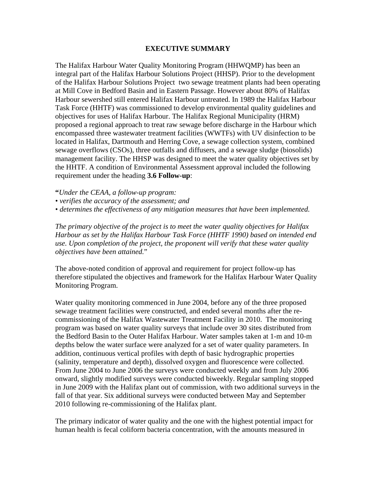## **EXECUTIVE SUMMARY**

The Halifax Harbour Water Quality Monitoring Program (HHWQMP) has been an integral part of the Halifax Harbour Solutions Project (HHSP). Prior to the development of the Halifax Harbour Solutions Project two sewage treatment plants had been operating at Mill Cove in Bedford Basin and in Eastern Passage. However about 80% of Halifax Harbour sewershed still entered Halifax Harbour untreated. In 1989 the Halifax Harbour Task Force (HHTF) was commissioned to develop environmental quality guidelines and objectives for uses of Halifax Harbour. The Halifax Regional Municipality (HRM) proposed a regional approach to treat raw sewage before discharge in the Harbour which encompassed three wastewater treatment facilities (WWTFs) with UV disinfection to be located in Halifax, Dartmouth and Herring Cove, a sewage collection system, combined sewage overflows (CSOs), three outfalls and diffusers, and a sewage sludge (biosolids) management facility. The HHSP was designed to meet the water quality objectives set by the HHTF. A condition of Environmental Assessment approval included the following requirement under the heading **3.6 Follow-up**:

**"***Under the CEAA, a follow-up program:* 

*• verifies the accuracy of the assessment; and* 

*• determines the effectiveness of any mitigation measures that have been implemented.* 

*The primary objective of the project is to meet the water quality objectives for Halifax Harbour as set by the Halifax Harbour Task Force (HHTF 1990) based on intended end use. Upon completion of the project, the proponent will verify that these water quality objectives have been attained.*"

The above-noted condition of approval and requirement for project follow-up has therefore stipulated the objectives and framework for the Halifax Harbour Water Quality Monitoring Program.

Water quality monitoring commenced in June 2004, before any of the three proposed sewage treatment facilities were constructed, and ended several months after the recommissioning of the Halifax Wastewater Treatment Facility in 2010. The monitoring program was based on water quality surveys that include over 30 sites distributed from the Bedford Basin to the Outer Halifax Harbour. Water samples taken at 1-m and 10-m depths below the water surface were analyzed for a set of water quality parameters. In addition, continuous vertical profiles with depth of basic hydrographic properties (salinity, temperature and depth), dissolved oxygen and fluorescence were collected. From June 2004 to June 2006 the surveys were conducted weekly and from July 2006 onward, slightly modified surveys were conducted biweekly. Regular sampling stopped in June 2009 with the Halifax plant out of commission, with two additional surveys in the fall of that year. Six additional surveys were conducted between May and September 2010 following re-commissioning of the Halifax plant.

The primary indicator of water quality and the one with the highest potential impact for human health is fecal coliform bacteria concentration, with the amounts measured in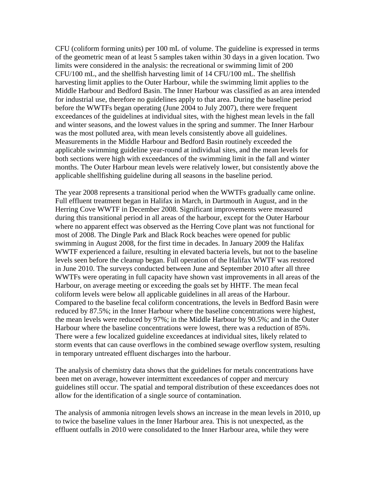CFU (coliform forming units) per 100 mL of volume. The guideline is expressed in terms of the geometric mean of at least 5 samples taken within 30 days in a given location. Two limits were considered in the analysis: the recreational or swimming limit of 200 CFU/100 mL, and the shellfish harvesting limit of 14 CFU/100 mL. The shellfish harvesting limit applies to the Outer Harbour, while the swimming limit applies to the Middle Harbour and Bedford Basin. The Inner Harbour was classified as an area intended for industrial use, therefore no guidelines apply to that area. During the baseline period before the WWTFs began operating (June 2004 to July 2007), there were frequent exceedances of the guidelines at individual sites, with the highest mean levels in the fall and winter seasons, and the lowest values in the spring and summer. The Inner Harbour was the most polluted area, with mean levels consistently above all guidelines. Measurements in the Middle Harbour and Bedford Basin routinely exceeded the applicable swimming guideline year-round at individual sites, and the mean levels for both sections were high with exceedances of the swimming limit in the fall and winter months. The Outer Harbour mean levels were relatively lower, but consistently above the applicable shellfishing guideline during all seasons in the baseline period.

The year 2008 represents a transitional period when the WWTFs gradually came online. Full effluent treatment began in Halifax in March, in Dartmouth in August, and in the Herring Cove WWTF in December 2008. Significant improvements were measured during this transitional period in all areas of the harbour, except for the Outer Harbour where no apparent effect was observed as the Herring Cove plant was not functional for most of 2008. The Dingle Park and Black Rock beaches were opened for public swimming in August 2008, for the first time in decades. In January 2009 the Halifax WWTF experienced a failure, resulting in elevated bacteria levels, but not to the baseline levels seen before the cleanup began. Full operation of the Halifax WWTF was restored in June 2010. The surveys conducted between June and September 2010 after all three WWTFs were operating in full capacity have shown vast improvements in all areas of the Harbour, on average meeting or exceeding the goals set by HHTF. The mean fecal coliform levels were below all applicable guidelines in all areas of the Harbour. Compared to the baseline fecal coliform concentrations, the levels in Bedford Basin were reduced by 87.5%; in the Inner Harbour where the baseline concentrations were highest, the mean levels were reduced by 97%; in the Middle Harbour by 90.5%; and in the Outer Harbour where the baseline concentrations were lowest, there was a reduction of 85%. There were a few localized guideline exceedances at individual sites, likely related to storm events that can cause overflows in the combined sewage overflow system, resulting in temporary untreated effluent discharges into the harbour.

The analysis of chemistry data shows that the guidelines for metals concentrations have been met on average, however intermittent exceedances of copper and mercury guidelines still occur. The spatial and temporal distribution of these exceedances does not allow for the identification of a single source of contamination.

The analysis of ammonia nitrogen levels shows an increase in the mean levels in 2010, up to twice the baseline values in the Inner Harbour area. This is not unexpected, as the effluent outfalls in 2010 were consolidated to the Inner Harbour area, while they were